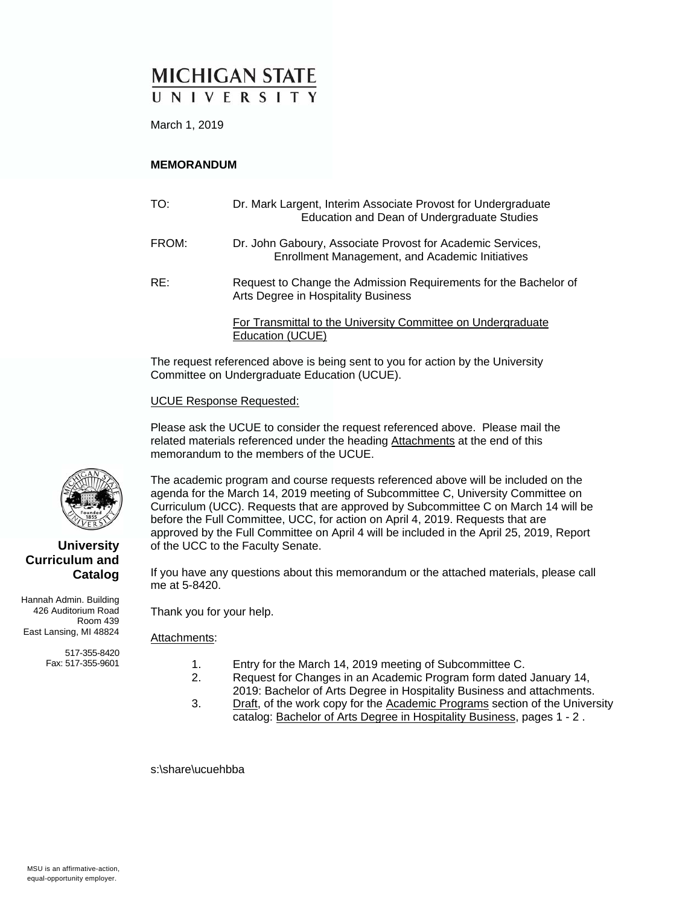# **MICHIGAN STATE** UNIVERSITY

March 1, 2019

#### **MEMORANDUM**

| TO:   | Dr. Mark Largent, Interim Associate Provost for Undergraduate<br>Education and Dean of Undergraduate Studies  |
|-------|---------------------------------------------------------------------------------------------------------------|
| FROM: | Dr. John Gaboury, Associate Provost for Academic Services,<br>Enrollment Management, and Academic Initiatives |
| RE:   | Request to Change the Admission Requirements for the Bachelor of<br>Arts Degree in Hospitality Business       |
|       | For Transmittal to the University Committee on Undergraduate<br>Education (UCUE)                              |

The request referenced above is being sent to you for action by the University Committee on Undergraduate Education (UCUE).

#### UCUE Response Requested:

Please ask the UCUE to consider the request referenced above. Please mail the related materials referenced under the heading Attachments at the end of this memorandum to the members of the UCUE.

The academic program and course requests referenced above will be included on the agenda for the March 14, 2019 meeting of Subcommittee C, University Committee on Curriculum (UCC). Requests that are approved by Subcommittee C on March 14 will be before the Full Committee, UCC, for action on April 4, 2019. Requests that are approved by the Full Committee on April 4 will be included in the April 25, 2019, Report of the UCC to the Faculty Senate.

If you have any questions about this memorandum or the attached materials, please call me at 5-8420.

Thank you for your help.

#### Attachments:

- 1. Entry for the March 14, 2019 meeting of Subcommittee C.
	- 2. Request for Changes in an Academic Program form dated January 14, 2019: Bachelor of Arts Degree in Hospitality Business and attachments.
	- 3. Draft, of the work copy for the Academic Programs section of the University catalog: Bachelor of Arts Degree in Hospitality Business, pages 1 - 2 .

s:\share\ucuehbba



#### **University Curriculum and Catalog**

Hannah Admin. Building 426 Auditorium Road Room 439 East Lansing, MI 48824

> 517-355-8420 Fax: 517-355-9601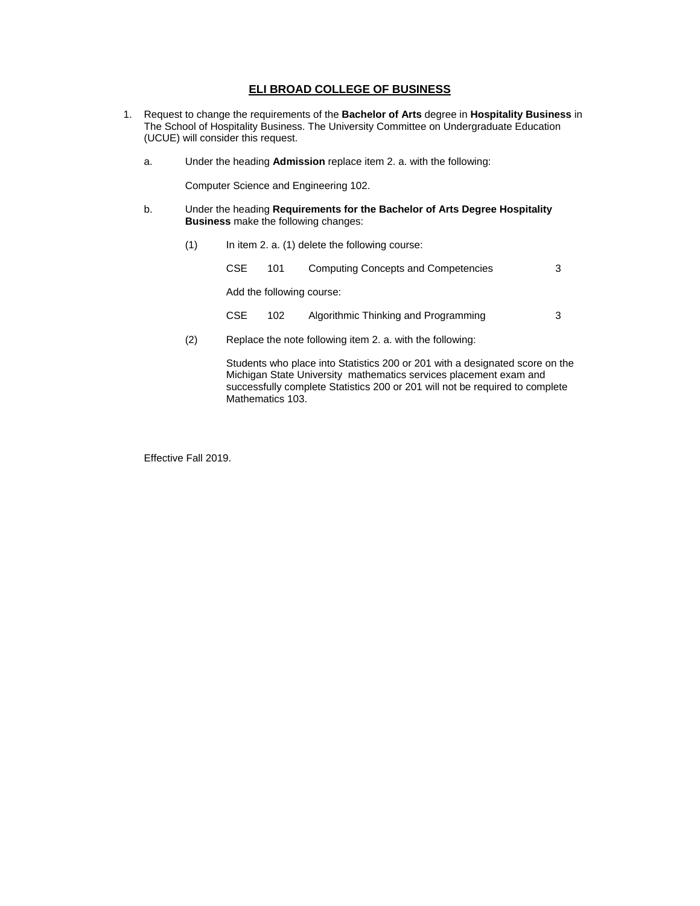#### **ELI BROAD COLLEGE OF BUSINESS**

- 1. Request to change the requirements of the **Bachelor of Arts** degree in **Hospitality Business** in The School of Hospitality Business. The University Committee on Undergraduate Education (UCUE) will consider this request.
	- a. Under the heading **Admission** replace item 2. a. with the following:

Computer Science and Engineering 102.

- b. Under the heading **Requirements for the Bachelor of Arts Degree Hospitality Business** make the following changes:
	- (1) In item 2. a. (1) delete the following course:

| CSE | 101 | <b>Computing Concepts and Competencies</b> |  |
|-----|-----|--------------------------------------------|--|
| .   |     |                                            |  |

Add the following course:

- CSE 102 Algorithmic Thinking and Programming 3
- (2) Replace the note following item 2. a. with the following:

Students who place into Statistics 200 or 201 with a designated score on the Michigan State University mathematics services placement exam and successfully complete Statistics 200 or 201 will not be required to complete Mathematics 103.

Effective Fall 2019.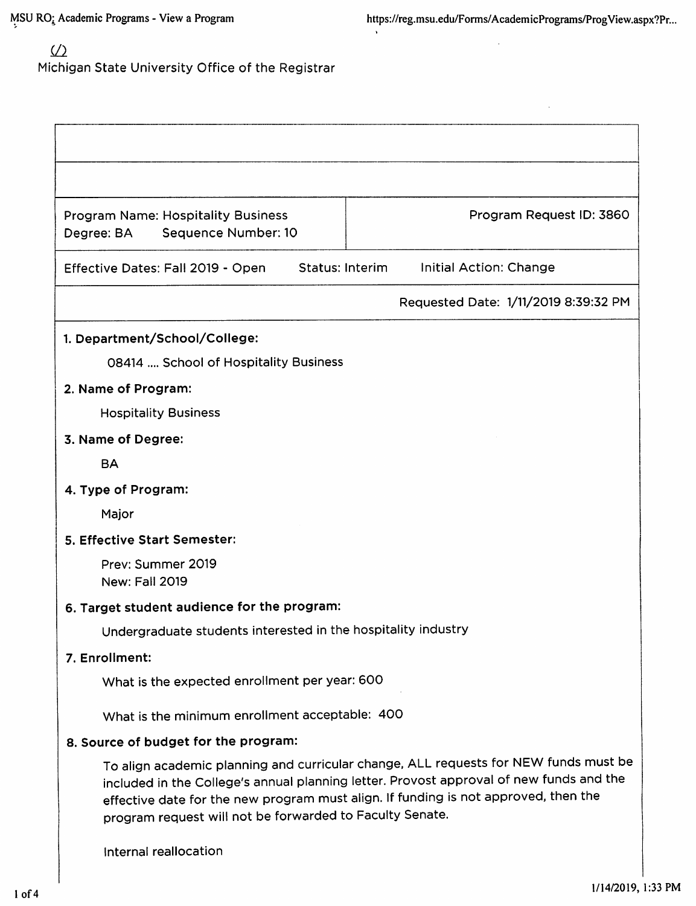# $\omega$ Michigan State University Office of the Registrar

| <b>Program Name: Hospitality Business</b><br>Sequence Number: 10<br>Degree: BA | Program Request ID: 3860                                                                                                                                                                                                                                               |  |  |  |  |
|--------------------------------------------------------------------------------|------------------------------------------------------------------------------------------------------------------------------------------------------------------------------------------------------------------------------------------------------------------------|--|--|--|--|
| Effective Dates: Fall 2019 - Open<br><b>Status: Interim</b>                    | Initial Action: Change                                                                                                                                                                                                                                                 |  |  |  |  |
|                                                                                | Requested Date: 1/11/2019 8:39:32 PM                                                                                                                                                                                                                                   |  |  |  |  |
| 1. Department/School/College:                                                  |                                                                                                                                                                                                                                                                        |  |  |  |  |
| 08414  School of Hospitality Business                                          |                                                                                                                                                                                                                                                                        |  |  |  |  |
| 2. Name of Program:                                                            |                                                                                                                                                                                                                                                                        |  |  |  |  |
| <b>Hospitality Business</b>                                                    |                                                                                                                                                                                                                                                                        |  |  |  |  |
| 3. Name of Degree:                                                             |                                                                                                                                                                                                                                                                        |  |  |  |  |
| <b>BA</b>                                                                      |                                                                                                                                                                                                                                                                        |  |  |  |  |
| 4. Type of Program:                                                            |                                                                                                                                                                                                                                                                        |  |  |  |  |
| Major                                                                          |                                                                                                                                                                                                                                                                        |  |  |  |  |
| 5. Effective Start Semester:                                                   |                                                                                                                                                                                                                                                                        |  |  |  |  |
| Prev: Summer 2019<br><b>New: Fall 2019</b>                                     |                                                                                                                                                                                                                                                                        |  |  |  |  |
| 6. Target student audience for the program:                                    |                                                                                                                                                                                                                                                                        |  |  |  |  |
| Undergraduate students interested in the hospitality industry                  |                                                                                                                                                                                                                                                                        |  |  |  |  |
| 7. Enrollment:                                                                 |                                                                                                                                                                                                                                                                        |  |  |  |  |
| What is the expected enrollment per year: 600                                  |                                                                                                                                                                                                                                                                        |  |  |  |  |
| What is the minimum enrollment acceptable: 400                                 |                                                                                                                                                                                                                                                                        |  |  |  |  |
| 8. Source of budget for the program:                                           |                                                                                                                                                                                                                                                                        |  |  |  |  |
| program request will not be forwarded to Faculty Senate.                       | To align academic planning and curricular change, ALL requests for NEW funds must be<br>included in the College's annual planning letter. Provost approval of new funds and the<br>effective date for the new program must align. If funding is not approved, then the |  |  |  |  |
| Internal reallocation                                                          |                                                                                                                                                                                                                                                                        |  |  |  |  |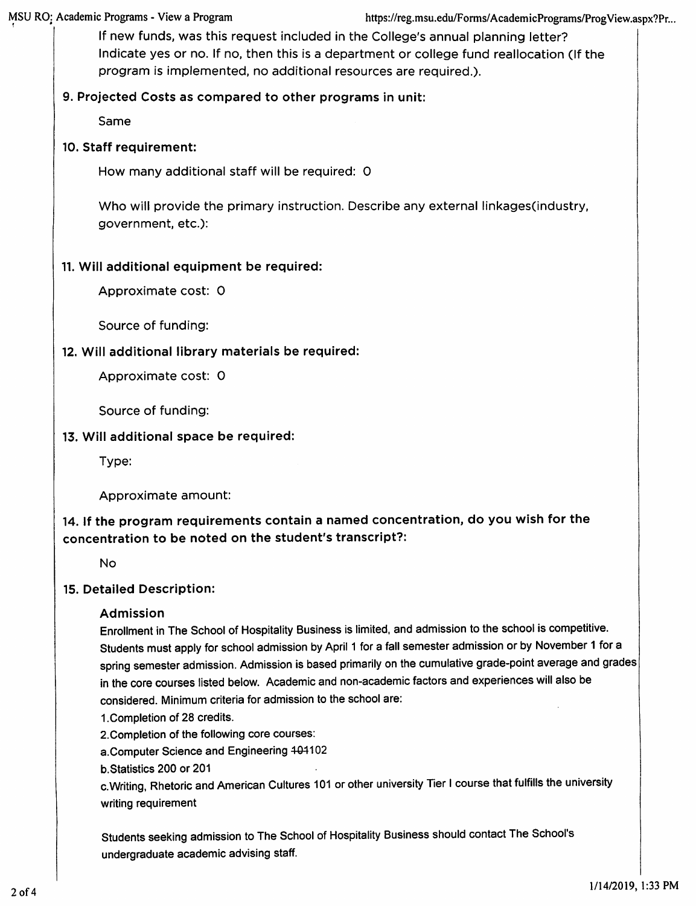If new funds, was this request included in the College's annual planning letter? Indicate yes or no. If no, then this is a department or college fund reallocation (If the program is implemented, no additional resources are required.).

## 9. Projected Costs as compared to other programs in unit:

Same

## 10. Staff requirement:

How many additional staff will be required: 0

Who will provide the primary instruction. Describe any external linkages (industry, government, etc.):

## 11. Will additional equipment be required:

Approximate cost: 0

Source of funding:

## 12. Will additional library materials be required:

Approximate cost: 0

Source of funding:

## 13. Will additional space be required:

Type:

Approximate amount:

# 14. If the program requirements contain a named concentration, do you wish for the concentration to be noted on the student's transcript?:

**No** 

#### 15. Detailed Description:

## **Admission**

Enrollment in The School of Hospitality Business is limited, and admission to the school is competitive. Students must apply for school admission by April 1 for a fall semester admission or by November 1 for a spring semester admission. Admission is based primarily on the cumulative grade-point average and grades in the core courses listed below. Academic and non-academic factors and experiences will also be considered. Minimum criteria for admission to the school are:

1. Completion of 28 credits.

2. Completion of the following core courses:

a.Computer Science and Engineering 404102

b.Statistics 200 or 201

c. Writing, Rhetoric and American Cultures 101 or other university Tier I course that fulfills the university writing requirement

Students seeking admission to The School of Hospitality Business should contact The School's undergraduate academic advising staff.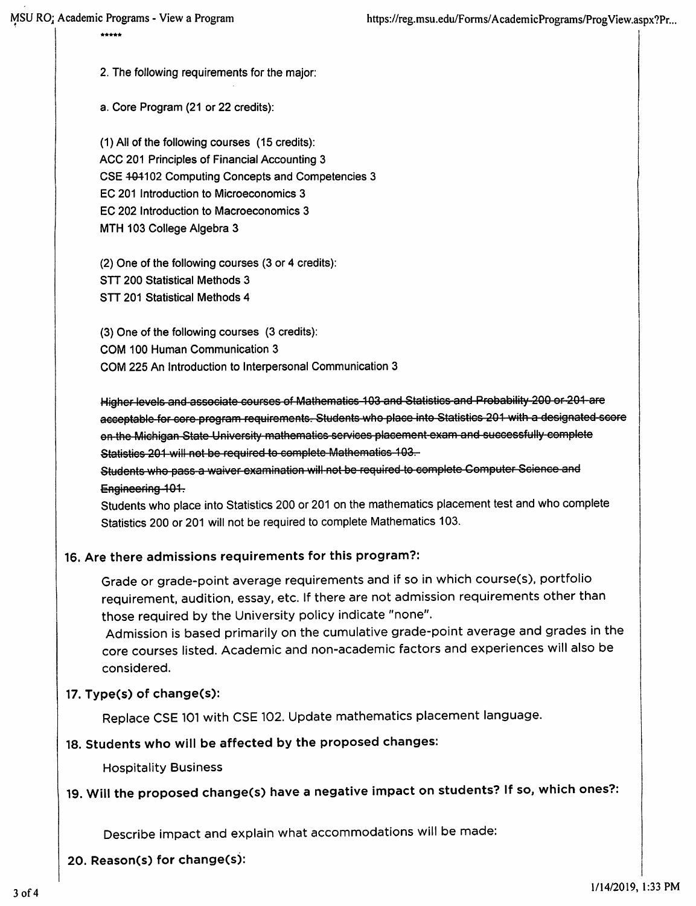- 2. The following requirements for the major:
- a. Core Program (21 or 22 credits):

(1) All of the following courses (15 credits): ACC 201 Principles of Financial Accounting 3 CSE 404102 Computing Concepts and Competencies 3 EC 201 Introduction to Microeconomics 3 EC 202 Introduction to Macroeconomics 3 MTH 103 College Algebra 3

(2) One of the following courses (3 or 4 credits): STT 200 Statistical Methods 3 STT 201 Statistical Methods 4

(3) One of the following courses (3 credits): COM 100 Human Communication 3 COM 225 An Introduction to Interpersonal Communication 3

Higher levels and associate courses of Mathematics 103 and Statistics and Probability 200 or 201 are acceptable for core program requirements. Students who place into Statistics 201 with a designated score on the Michigan State University mathematics services placement exam and successfully complete Statistics 201 will not be required to complete Mathematics 103.

Students who pass a waiver examination will not be required to complete Computer Science and Engineering 101.

Students who place into Statistics 200 or 201 on the mathematics placement test and who complete Statistics 200 or 201 will not be required to complete Mathematics 103.

# 16. Are there admissions requirements for this program?:

Grade or grade-point average requirements and if so in which course(s), portfolio requirement, audition, essay, etc. If there are not admission requirements other than those required by the University policy indicate "none".

Admission is based primarily on the cumulative grade-point average and grades in the core courses listed. Academic and non-academic factors and experiences will also be considered.

## $17.$  Type(s) of change(s):

Replace CSE 101 with CSE 102. Update mathematics placement language.

## 18. Students who will be affected by the proposed changes:

**Hospitality Business** 

19. Will the proposed change(s) have a negative impact on students? If so, which ones?:

Describe impact and explain what accommodations will be made:

## 20. Reason(s) for change(s):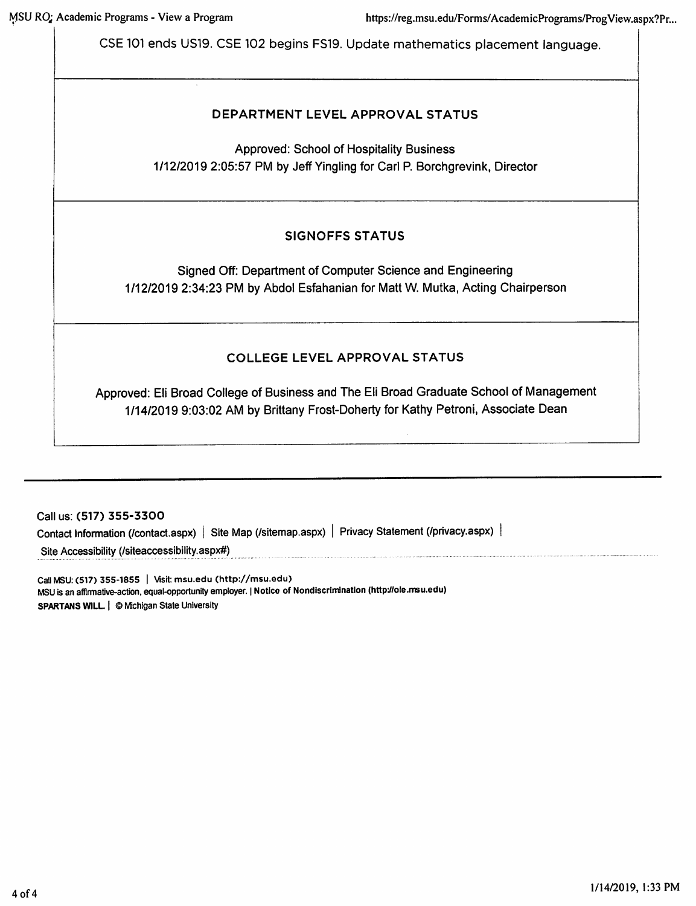CSE 101 ends US19. CSE 102 begins FS19. Update mathematics placement language.

## DEPARTMENT LEVEL APPROVAL STATUS

**Approved: School of Hospitality Business** 1/12/2019 2:05:57 PM by Jeff Yingling for Carl P. Borchgrevink, Director

## **SIGNOFFS STATUS**

Signed Off: Department of Computer Science and Engineering 1/12/2019 2:34:23 PM by Abdol Esfahanian for Matt W. Mutka, Acting Chairperson

## **COLLEGE LEVEL APPROVAL STATUS**

Approved: Eli Broad College of Business and The Eli Broad Graduate School of Management 1/14/2019 9:03:02 AM by Brittany Frost-Doherty for Kathy Petroni, Associate Dean

Call us: (517) 355-3300 Contact Information (/contact.aspx) | Site Map (/sitemap.aspx) | Privacy Statement (/privacy.aspx) | Site Accessibility (/siteaccessibility.aspx#)

Call MSU: (517) 355-1855 | Visit: msu.edu (http://msu.edu) MSU is an affirmative-action, equal-opportunity employer. | Notice of Nondiscrimination (http://ole.msu.edu) SPARTANS WILL. | © Michigan State University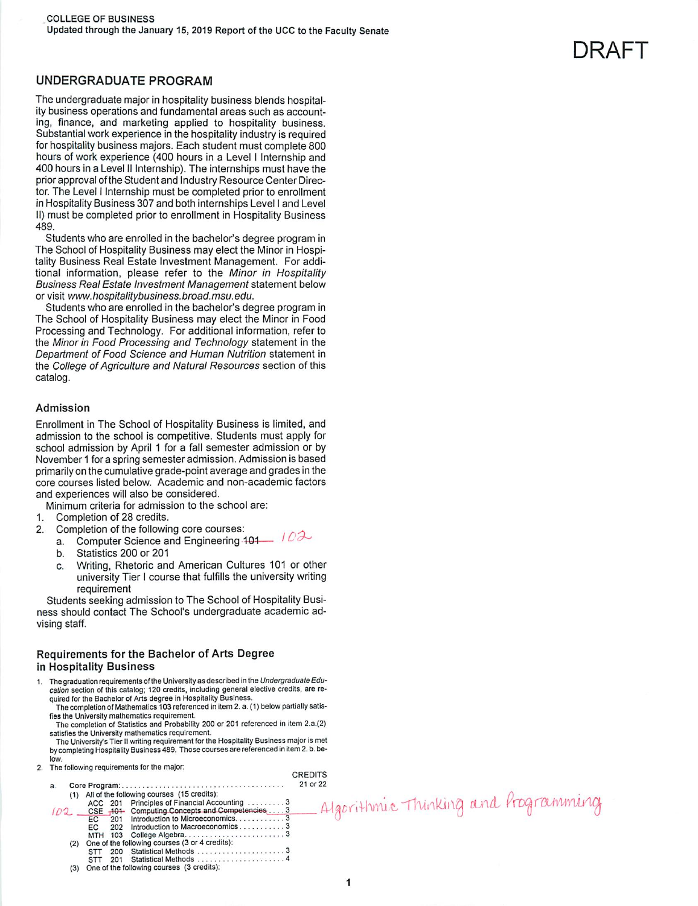DRAFT

#### UNDERGRADUATE PROGRAM

The undergraduate major in hospitality business blends hospitality business operations and fundamental areas such as accounting, finance, and marketing applied to hospitality business. Substantial work experience in the hospitality industry is required for hospitality business majors. Each student must complete 800 hours of work experience (400 hours in a Level I Internship and 400 hours in a Level II Internship). The internships must have the prior approval of the Student and Industry Resource Center Director. The Level I Internship must be completed prior to enrollment in Hospitality Business 307 and both internships Level I and Level II) must be completed prior to enrollment in Hospitality Business 489.

Students who are enrolled in the bachelor's degree program in The School of Hospitality Business may elect the Minor in Hospitality Business Real Estate Investment Management. For additional information, please refer to the Minor in Hospitality Business Real Estate Investment Management statement below or visit www.hospitalitybusiness.broad.msu.edu.

Students who are enrolled in the bachelor's degree program in The School of Hospitality Business may elect the Minor in Food Processing and Technology. For additional information, refer to the Minor in Food Processing and Technology statement in the Department of Food Science and Human Nutrition statement in the College of Agriculture and Natural Resources section of this catalog.

#### Admission

Enrollment in The School of Hospitality Business is limited, and admission to the school is competitive. Students must apply for school admission by April 1 for a fall semester admission or by November 1 for a spring semester admission. Admission is based primarily on the cumulative grade-point average and grades in the core courses listed below. Academic and non-academic factors and experiences will also be considered.

Minimum criteria for admission to the school are:

- Completion of 28 credits.  $1.$
- $\overline{2}$ Completion of the following core courses:
	- Computer Science and Engineering 101 102 a.
		- Statistics 200 or 201  $b$
		- Writing, Rhetoric and American Cultures 101 or other C. university Tier I course that fulfills the university writing requirement

Students seeking admission to The School of Hospitality Business should contact The School's undergraduate academic advising staff.

#### Requirements for the Bachelor of Arts Degree in Hospitality Business